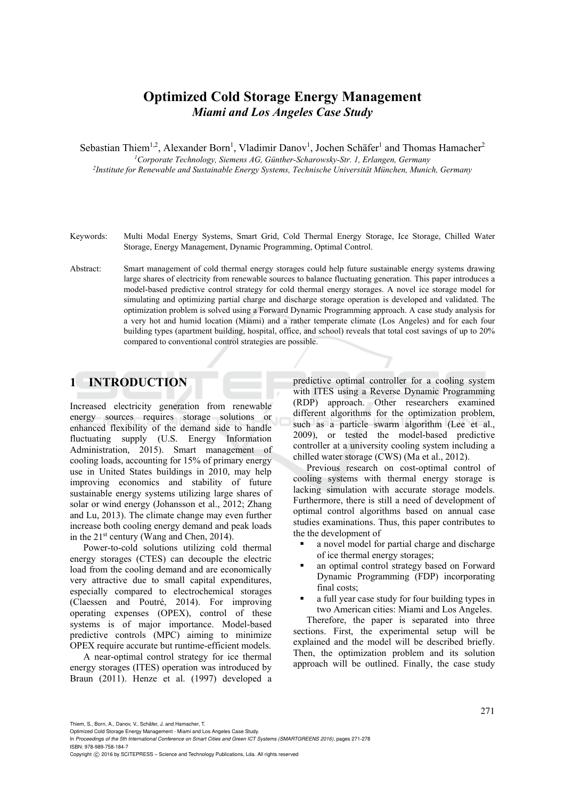# **Optimized Cold Storage Energy Management**  *Miami and Los Angeles Case Study*

Sebastian Thiem<sup>1,2</sup>, Alexander Born<sup>1</sup>, Vladimir Danov<sup>1</sup>, Jochen Schäfer<sup>1</sup> and Thomas Hamacher<sup>2</sup>

*1Corporate Technology, Siemens AG, Günther-Scharowsky-Str. 1, Erlangen, Germany 2Institute for Renewable and Sustainable Energy Systems, Technische Universität München, Munich, Germany* 

- Keywords: Multi Modal Energy Systems, Smart Grid, Cold Thermal Energy Storage, Ice Storage, Chilled Water Storage, Energy Management, Dynamic Programming, Optimal Control.
- Abstract: Smart management of cold thermal energy storages could help future sustainable energy systems drawing large shares of electricity from renewable sources to balance fluctuating generation. This paper introduces a model-based predictive control strategy for cold thermal energy storages. A novel ice storage model for simulating and optimizing partial charge and discharge storage operation is developed and validated. The optimization problem is solved using a Forward Dynamic Programming approach. A case study analysis for a very hot and humid location (Miami) and a rather temperate climate (Los Angeles) and for each four building types (apartment building, hospital, office, and school) reveals that total cost savings of up to 20% compared to conventional control strategies are possible.

## **1 INTRODUCTION**

Increased electricity generation from renewable energy sources requires storage solutions or enhanced flexibility of the demand side to handle fluctuating supply (U.S. Energy Information Administration, 2015). Smart management of cooling loads, accounting for 15% of primary energy use in United States buildings in 2010, may help improving economics and stability of future sustainable energy systems utilizing large shares of solar or wind energy (Johansson et al., 2012; Zhang and Lu, 2013). The climate change may even further increase both cooling energy demand and peak loads in the 21st century (Wang and Chen, 2014).

Power-to-cold solutions utilizing cold thermal energy storages (CTES) can decouple the electric load from the cooling demand and are economically very attractive due to small capital expenditures, especially compared to electrochemical storages (Claessen and Poutré, 2014). For improving operating expenses (OPEX), control of these systems is of major importance. Model-based predictive controls (MPC) aiming to minimize OPEX require accurate but runtime-efficient models.

A near-optimal control strategy for ice thermal energy storages (ITES) operation was introduced by Braun (2011). Henze et al. (1997) developed a predictive optimal controller for a cooling system with ITES using a Reverse Dynamic Programming (RDP) approach. Other researchers examined different algorithms for the optimization problem, such as a particle swarm algorithm (Lee et al., 2009), or tested the model-based predictive controller at a university cooling system including a chilled water storage (CWS) (Ma et al., 2012).

Previous research on cost-optimal control of cooling systems with thermal energy storage is lacking simulation with accurate storage models. Furthermore, there is still a need of development of optimal control algorithms based on annual case studies examinations. Thus, this paper contributes to the the development of

- a novel model for partial charge and discharge of ice thermal energy storages;
- an optimal control strategy based on Forward Dynamic Programming (FDP) incorporating final costs;
- a full year case study for four building types in two American cities: Miami and Los Angeles.

Therefore, the paper is separated into three sections. First, the experimental setup will be explained and the model will be described briefly. Then, the optimization problem and its solution approach will be outlined. Finally, the case study

Thiem, S., Born, A., Danov, V., Schäfer, J. and Hamacher, T.

Optimized Cold Storage Energy Management - Miami and Los Angeles Case Study.

In *Proceedings of the 5th International Conference on Smart Cities and Green ICT Systems (SMARTGREENS 2016)*, pages 271-278 ISBN: 978-989-758-184-7

Copyright C 2016 by SCITEPRESS - Science and Technology Publications, Lda. All rights reserved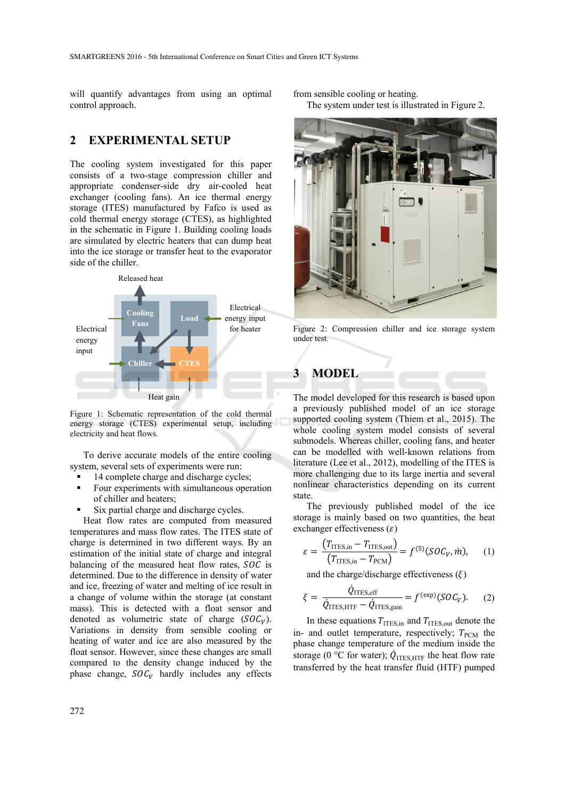will quantify advantages from using an optimal control approach.

### **2 EXPERIMENTAL SETUP**

The cooling system investigated for this paper consists of a two-stage compression chiller and appropriate condenser-side dry air-cooled heat exchanger (cooling fans). An ice thermal energy storage (ITES) manufactured by Fafco is used as cold thermal energy storage (CTES), as highlighted in the schematic in Figure 1. Building cooling loads are simulated by electric heaters that can dump heat into the ice storage or transfer heat to the evaporator side of the chiller.



Figure 1: Schematic representation of the cold thermal energy storage (CTES) experimental setup, including electricity and heat flows.

To derive accurate models of the entire cooling system, several sets of experiments were run:

- 14 complete charge and discharge cycles;
- Four experiments with simultaneous operation of chiller and heaters;
- Six partial charge and discharge cycles.

Heat flow rates are computed from measured temperatures and mass flow rates. The ITES state of charge is determined in two different ways. By an estimation of the initial state of charge and integral balancing of the measured heat flow rates,  $SOC$  is determined. Due to the difference in density of water and ice, freezing of water and melting of ice result in a change of volume within the storage (at constant mass). This is detected with a float sensor and denoted as volumetric state of charge  $(SOC<sub>V</sub>)$ . Variations in density from sensible cooling or heating of water and ice are also measured by the float sensor. However, since these changes are small compared to the density change induced by the phase change,  $SOC<sub>V</sub>$  hardly includes any effects

from sensible cooling or heating. The system under test is illustrated in Figure 2.



Figure 2: Compression chiller and ice storage system under test.

# **3 MODEL**

The model developed for this research is based upon a previously published model of an ice storage supported cooling system (Thiem et al., 2015). The whole cooling system model consists of several submodels. Whereas chiller, cooling fans, and heater can be modelled with well-known relations from literature (Lee et al., 2012), modelling of the ITES is more challenging due to its large inertia and several nonlinear characteristics depending on its current state.

The previously published model of the ice storage is mainly based on two quantities, the heat exchanger effectiveness  $(\varepsilon)$ 

$$
\varepsilon = \frac{\left(T_{\text{ITES,in}} - T_{\text{ITES,out}}\right)}{\left(T_{\text{ITES,in}} - T_{\text{PCM}}\right)} = f^{(5)}(\text{SOC}_V, \dot{m}),\qquad(1)
$$

and the charge/discharge effectiveness  $(\xi)$ 

$$
\xi = \frac{\dot{Q}_{\text{ITES,eff}}}{\dot{Q}_{\text{ITES,HTF}} - \dot{Q}_{\text{ITES,gain}}} = f^{(\text{exp})} (SOC_V). \tag{2}
$$

In these equations  $T<sub>ITES,in</sub>$  and  $T<sub>ITES,out</sub>$  denote the in- and outlet temperature, respectively;  $T_{\text{PCM}}$  the phase change temperature of the medium inside the storage (0 °C for water);  $\dot{Q}_{\text{ITES},\text{HTF}}$  the heat flow rate transferred by the heat transfer fluid (HTF) pumped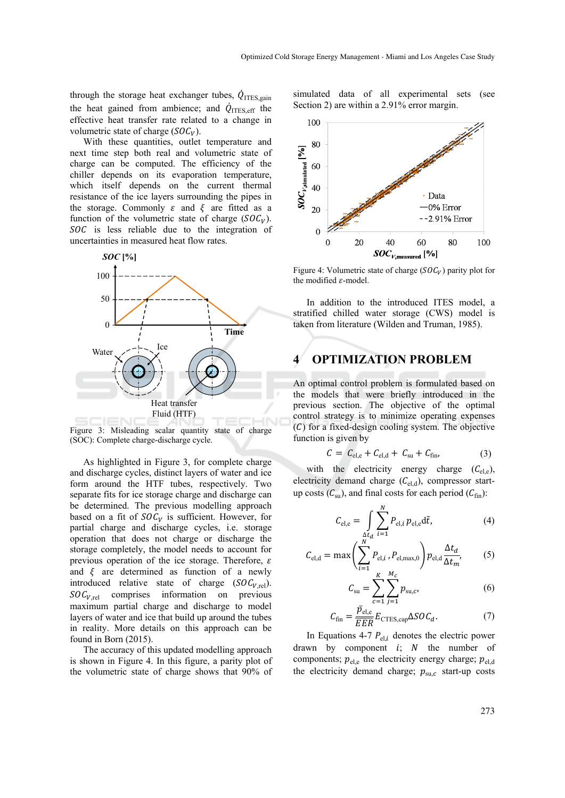through the storage heat exchanger tubes,  $\dot{Q}_{\text{TES,gain}}$ the heat gained from ambience; and  $\dot{Q}_{\text{ITES,eff}}$  the effective heat transfer rate related to a change in volumetric state of charge  $(SOC<sub>V</sub>)$ .

With these quantities, outlet temperature and next time step both real and volumetric state of charge can be computed. The efficiency of the chiller depends on its evaporation temperature, which itself depends on the current thermal resistance of the ice layers surrounding the pipes in the storage. Commonly  $\varepsilon$  and  $\xi$  are fitted as a function of the volumetric state of charge  $(SOC_V)$ .  $SOC$  is less reliable due to the integration of uncertainties in measured heat flow rates.



Figure 3: Misleading scalar quantity state of charge (SOC): Complete charge-discharge cycle.

As highlighted in Figure 3, for complete charge and discharge cycles, distinct layers of water and ice form around the HTF tubes, respectively. Two separate fits for ice storage charge and discharge can be determined. The previous modelling approach based on a fit of  $SOC<sub>V</sub>$  is sufficient. However, for partial charge and discharge cycles, i.e. storage operation that does not charge or discharge the storage completely, the model needs to account for previous operation of the ice storage. Therefore,  $\varepsilon$ and  $\xi$  are determined as function of a newly introduced relative state of charge  $(SOC_{V,rel})$ .  $SOC<sub>V.rel</sub>$  comprises information on previous maximum partial charge and discharge to model layers of water and ice that build up around the tubes in reality. More details on this approach can be found in Born (2015).

The accuracy of this updated modelling approach is shown in Figure 4. In this figure, a parity plot of the volumetric state of charge shows that 90% of simulated data of all experimental sets (see Section 2) are within a 2.91% error margin.



Figure 4: Volumetric state of charge ( $SOC_V$ ) parity plot for the modified  $\varepsilon$ -model.

In addition to the introduced ITES model, a stratified chilled water storage (CWS) model is taken from literature (Wilden and Truman, 1985).

## **4 OPTIMIZATION PROBLEM**

An optimal control problem is formulated based on the models that were briefly introduced in the previous section. The objective of the optimal control strategy is to minimize operating expenses  $(C)$  for a fixed-design cooling system. The objective function is given by

$$
C = C_{\text{el,e}} + C_{\text{el,d}} + C_{\text{su}} + C_{\text{fin}}, \tag{3}
$$

with the electricity energy charge  $(C_{el,e})$ , electricity demand charge  $(C_{el,d})$ , compressor startup costs  $(C_{\text{su}})$ , and final costs for each period  $(C_{\text{fin}})$ :

$$
C_{\rm el,e} = \int_{\Delta t_d} \sum_{i=1}^{N} P_{\rm el,i} \, p_{\rm el,e} d\tilde{t}, \tag{4}
$$

$$
C_{\text{el,d}} = \max \left( \sum_{i=1}^{N} P_{\text{el},i}, P_{\text{el},\text{max},0} \right) p_{\text{el},d} \frac{\Delta t_d}{\Delta t_m}, \quad (5)
$$

$$
C_{\rm su} = \sum_{c=1}^{K} \sum_{j=1}^{M_c} p_{\rm su,c},
$$
 (6)

$$
C_{\text{fin}} = \frac{\bar{p}_{\text{el,e}}}{\overline{EER}} E_{\text{CTES,cap}} \Delta SOC_d.
$$
 (7)

In Equations 4-7  $P_{el,i}$  denotes the electric power drawn by component  $i$ ;  $N$  the number of components;  $p_{\text{el,e}}$  the electricity energy charge;  $p_{\text{el,d}}$ the electricity demand charge;  $p_{\text{su},c}$  start-up costs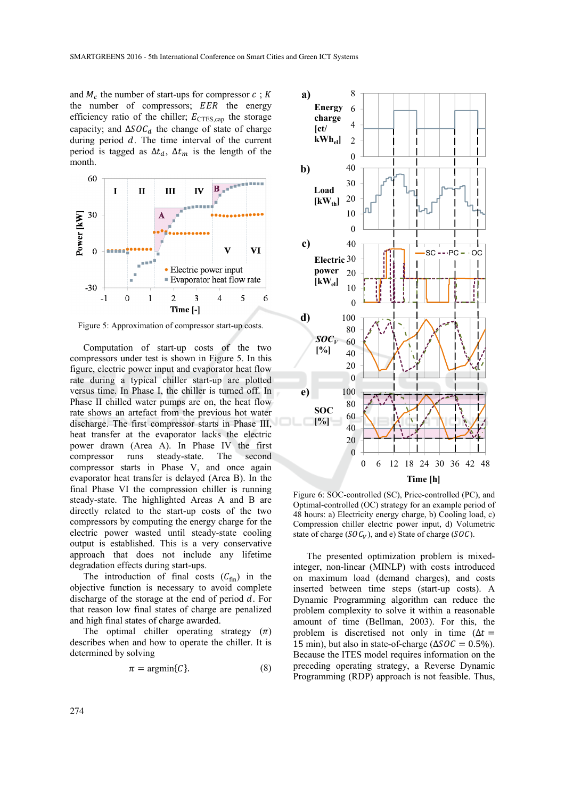and  $M_c$  the number of start-ups for compressor  $c : K$ the number of compressors; EER the energy efficiency ratio of the chiller;  $E_{\text{CTES,cap}}$  the storage capacity; and  $\Delta SOC_d$  the change of state of charge during period  $d$ . The time interval of the current period is tagged as  $\Delta t_d$ ,  $\Delta t_m$  is the length of the month.



Figure 5: Approximation of compressor start-up costs.

Computation of start-up costs of the two compressors under test is shown in Figure 5. In this figure, electric power input and evaporator heat flow rate during a typical chiller start-up are plotted versus time. In Phase I, the chiller is turned off. In Phase II chilled water pumps are on, the heat flow rate shows an artefact from the previous hot water discharge. The first compressor starts in Phase III, heat transfer at the evaporator lacks the electric power drawn (Area A). In Phase IV the first compressor runs steady-state. The second compressor starts in Phase V, and once again evaporator heat transfer is delayed (Area B). In the final Phase VI the compression chiller is running steady-state. The highlighted Areas A and B are directly related to the start-up costs of the two compressors by computing the energy charge for the electric power wasted until steady-state cooling output is established. This is a very conservative approach that does not include any lifetime degradation effects during start-ups.

The introduction of final costs  $(C_{fin})$  in the objective function is necessary to avoid complete discharge of the storage at the end of period  $d$ . For that reason low final states of charge are penalized and high final states of charge awarded.

The optimal chiller operating strategy  $(\pi)$ describes when and how to operate the chiller. It is determined by solving

$$
\pi = \operatorname{argmin}\{C\}.\tag{8}
$$



Figure 6: SOC-controlled (SC), Price-controlled (PC), and Optimal-controlled (OC) strategy for an example period of 48 hours: a) Electricity energy charge, b) Cooling load, c) Compression chiller electric power input, d) Volumetric state of charge  $(SOC_V)$ , and e) State of charge (SOC).

The presented optimization problem is mixedinteger, non-linear (MINLP) with costs introduced on maximum load (demand charges), and costs inserted between time steps (start-up costs). A Dynamic Programming algorithm can reduce the problem complexity to solve it within a reasonable amount of time (Bellman, 2003). For this, the problem is discretised not only in time ( $\Delta t =$ 15 min), but also in state-of-charge ( $\Delta SOC = 0.5\%$ ). Because the ITES model requires information on the preceding operating strategy, a Reverse Dynamic Programming (RDP) approach is not feasible. Thus,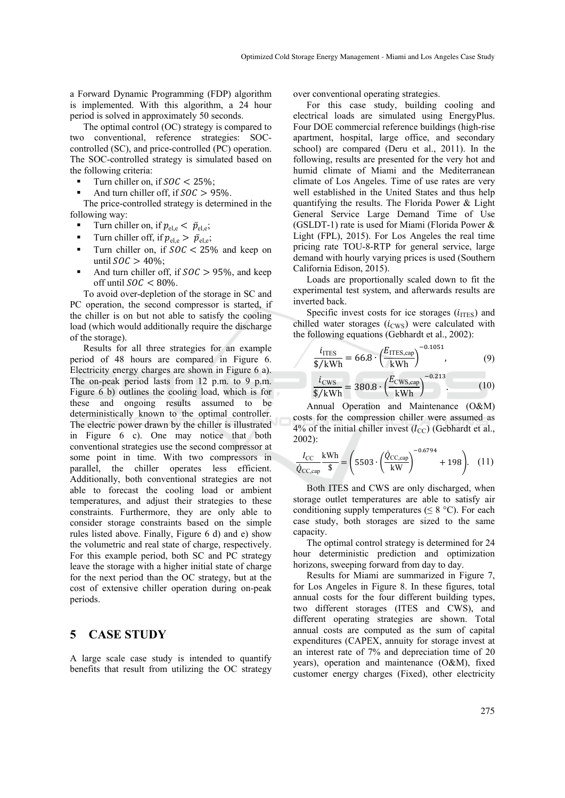a Forward Dynamic Programming (FDP) algorithm is implemented. With this algorithm, a 24 hour period is solved in approximately 50 seconds.

The optimal control (OC) strategy is compared to two conventional, reference strategies: SOCcontrolled (SC), and price-controlled (PC) operation. The SOC-controlled strategy is simulated based on the following criteria:

- Turn chiller on, if  $SOC < 25\%$ ;
- And turn chiller off, if  $SOC > 95\%$ .

The price-controlled strategy is determined in the following way:

- Turn chiller on, if  $p_{\text{el,e}} < \bar{p}_{\text{el,e}}$ ;
- Turn chiller off, if  $p_{\text{el,e}} > \bar{p}_{\text{el,e}}$ ;
- Turn chiller on, if  $SOC < 25\%$  and keep on until  $SOC > 40\%$ :
- And turn chiller off, if  $SOC > 95\%$ , and keep off until  $SOC < 80\%$ .

To avoid over-depletion of the storage in SC and PC operation, the second compressor is started, if the chiller is on but not able to satisfy the cooling load (which would additionally require the discharge of the storage).

Results for all three strategies for an example period of 48 hours are compared in Figure 6. Electricity energy charges are shown in Figure 6 a). The on-peak period lasts from 12 p.m. to 9 p.m. Figure 6 b) outlines the cooling load, which is for these and ongoing results assumed to be deterministically known to the optimal controller. The electric power drawn by the chiller is illustrated in Figure 6 c). One may notice that both conventional strategies use the second compressor at some point in time. With two compressors in parallel, the chiller operates less efficient. Additionally, both conventional strategies are not able to forecast the cooling load or ambient temperatures, and adjust their strategies to these constraints. Furthermore, they are only able to consider storage constraints based on the simple rules listed above. Finally, Figure 6 d) and e) show the volumetric and real state of charge, respectively. For this example period, both SC and PC strategy leave the storage with a higher initial state of charge for the next period than the OC strategy, but at the cost of extensive chiller operation during on-peak periods.

#### **5 CASE STUDY**

A large scale case study is intended to quantify benefits that result from utilizing the OC strategy over conventional operating strategies.

For this case study, building cooling and electrical loads are simulated using EnergyPlus. Four DOE commercial reference buildings (high-rise apartment, hospital, large office, and secondary school) are compared (Deru et al., 2011). In the following, results are presented for the very hot and humid climate of Miami and the Mediterranean climate of Los Angeles. Time of use rates are very well established in the United States and thus help quantifying the results. The Florida Power & Light General Service Large Demand Time of Use (GSLDT-1) rate is used for Miami (Florida Power  $\&$ Light (FPL), 2015). For Los Angeles the real time pricing rate TOU-8-RTP for general service, large demand with hourly varying prices is used (Southern California Edison, 2015).

Loads are proportionally scaled down to fit the experimental test system, and afterwards results are inverted back.

Specific invest costs for ice storages  $(i_{\text{ITES}})$  and chilled water storages  $(i_{\text{CWS}})$  were calculated with the following equations (Gebhardt et al., 2002):

$$
\frac{i_{\text{ITES}}}{\frac{\text{L}}{\text{V}} + \text{L}} = 66.8 \cdot \left(\frac{E_{\text{ITES,cap}}}{\text{kWh}}\right)^{-0.1051},\tag{9}
$$

$$
\frac{i_{\text{CWS}}}{\frac{s}{kWh}} = 380.8 \cdot \left(\frac{E_{\text{CWS,cap}}}{kWh}\right)^{-0.213}.
$$
 (10)

Annual Operation and Maintenance (O&M) costs for the compression chiller were assumed as 4% of the initial chiller invest  $(I_{CC})$  (Gebhardt et al., 2002):

$$
\frac{I_{\rm CC}}{\dot{Q}_{\rm CC,cap}} \frac{\text{kWh}}{\$} = \left(5503 \cdot \left(\frac{\dot{Q}_{\rm CC,cap}}{\text{kW}}\right)^{-0.6794} + 198\right). \quad (11)
$$

Both ITES and CWS are only discharged, when storage outlet temperatures are able to satisfy air conditioning supply temperatures ( $\leq 8$  °C). For each case study, both storages are sized to the same capacity.

The optimal control strategy is determined for 24 hour deterministic prediction and optimization horizons, sweeping forward from day to day.

Results for Miami are summarized in Figure 7, for Los Angeles in Figure 8. In these figures, total annual costs for the four different building types, two different storages (ITES and CWS), and different operating strategies are shown. Total annual costs are computed as the sum of capital expenditures (CAPEX, annuity for storage invest at an interest rate of 7% and depreciation time of 20 years), operation and maintenance (O&M), fixed customer energy charges (Fixed), other electricity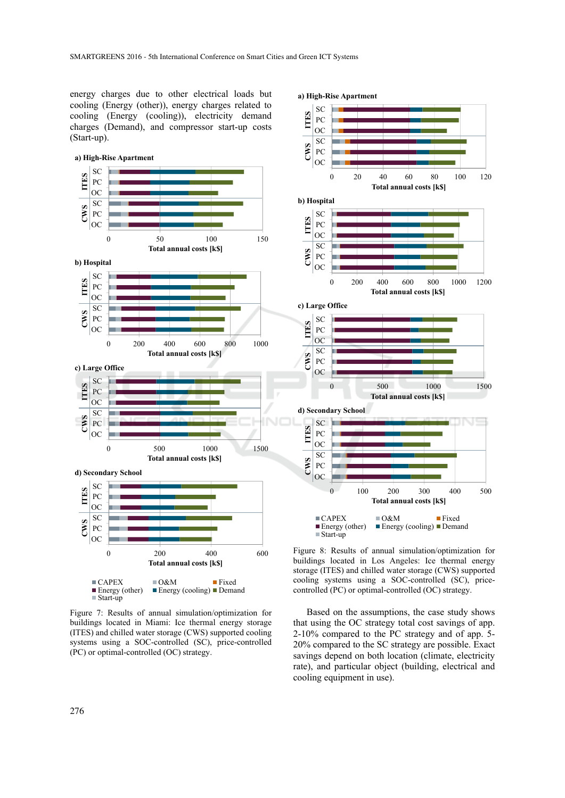energy charges due to other electrical loads but cooling (Energy (other)), energy charges related to cooling (Energy (cooling)), electricity demand charges (Demand), and compressor start-up costs (Start-up).



Figure 7: Results of annual simulation/optimization for buildings located in Miami: Ice thermal energy storage (ITES) and chilled water storage (CWS) supported cooling systems using a SOC-controlled (SC), price-controlled (PC) or optimal-controlled (OC) strategy.



Figure 8: Results of annual simulation/optimization for buildings located in Los Angeles: Ice thermal energy storage (ITES) and chilled water storage (CWS) supported cooling systems using a SOC-controlled (SC), pricecontrolled (PC) or optimal-controlled (OC) strategy.

Based on the assumptions, the case study shows that using the OC strategy total cost savings of app. 2-10% compared to the PC strategy and of app. 5- 20% compared to the SC strategy are possible. Exact savings depend on both location (climate, electricity rate), and particular object (building, electrical and cooling equipment in use).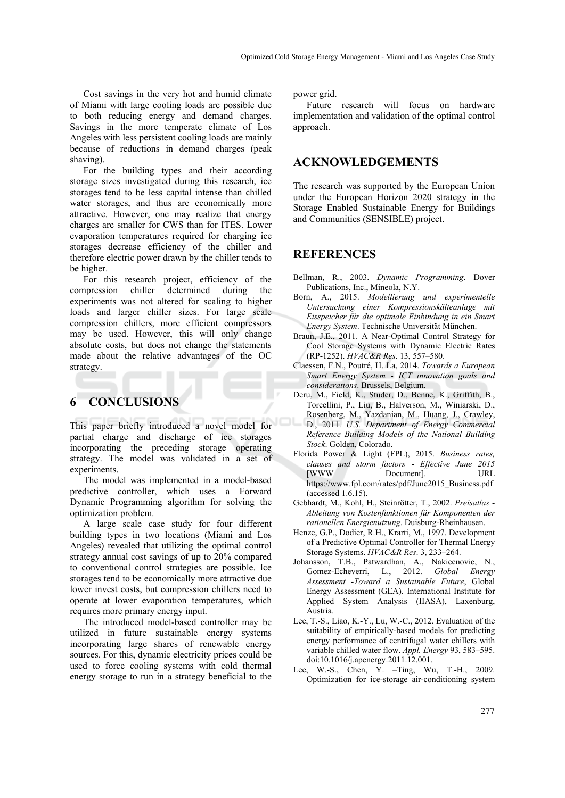Cost savings in the very hot and humid climate of Miami with large cooling loads are possible due to both reducing energy and demand charges. Savings in the more temperate climate of Los Angeles with less persistent cooling loads are mainly because of reductions in demand charges (peak shaving).

For the building types and their according storage sizes investigated during this research, ice storages tend to be less capital intense than chilled water storages, and thus are economically more attractive. However, one may realize that energy charges are smaller for CWS than for ITES. Lower evaporation temperatures required for charging ice storages decrease efficiency of the chiller and therefore electric power drawn by the chiller tends to be higher.

For this research project, efficiency of the compression chiller determined during the experiments was not altered for scaling to higher loads and larger chiller sizes. For large scale compression chillers, more efficient compressors may be used. However, this will only change absolute costs, but does not change the statements made about the relative advantages of the OC strategy.

### **6 CONCLUSIONS**

This paper briefly introduced a novel model for partial charge and discharge of ice storages incorporating the preceding storage operating strategy. The model was validated in a set of experiments.

The model was implemented in a model-based predictive controller, which uses a Forward Dynamic Programming algorithm for solving the optimization problem.

A large scale case study for four different building types in two locations (Miami and Los Angeles) revealed that utilizing the optimal control strategy annual cost savings of up to 20% compared to conventional control strategies are possible. Ice storages tend to be economically more attractive due lower invest costs, but compression chillers need to operate at lower evaporation temperatures, which requires more primary energy input.

The introduced model-based controller may be utilized in future sustainable energy systems incorporating large shares of renewable energy sources. For this, dynamic electricity prices could be used to force cooling systems with cold thermal energy storage to run in a strategy beneficial to the power grid.

Future research will focus on hardware implementation and validation of the optimal control approach.

#### **ACKNOWLEDGEMENTS**

The research was supported by the European Union under the European Horizon 2020 strategy in the Storage Enabled Sustainable Energy for Buildings and Communities (SENSIBLE) project.

### **REFERENCES**

- Bellman, R., 2003. *Dynamic Programming*. Dover Publications, Inc., Mineola, N.Y.
- Born, A., 2015. *Modellierung und experimentelle Untersuchung einer Kompressionskälteanlage mit Eisspeicher für die optimale Einbindung in ein Smart Energy System*. Technische Universität München.
- Braun, J.E., 2011. A Near-Optimal Control Strategy for Cool Storage Systems with Dynamic Electric Rates (RP-1252). *HVAC&R Res*. 13, 557–580.
- Claessen, F.N., Poutré, H. La, 2014. *Towards a European Smart Energy System - ICT innovation goals and considerations*. Brussels, Belgium.
- Deru, M., Field, K., Studer, D., Benne, K., Griffith, B., Torcellini, P., Liu, B., Halverson, M., Winiarski, D., Rosenberg, M., Yazdanian, M., Huang, J., Crawley, D., 2011. *U.S. Department of Energy Commercial Reference Building Models of the National Building Stock*. Golden, Colorado.
- Florida Power & Light (FPL), 2015. *Business rates, clauses and storm factors - Effective June 2015* Document]. https://www.fpl.com/rates/pdf/June2015\_Business.pdf (accessed 1.6.15).
- Gebhardt, M., Kohl, H., Steinrötter, T., 2002. *Preisatlas Ableitung von Kostenfunktionen für Komponenten der rationellen Energienutzung*. Duisburg-Rheinhausen.
- Henze, G.P., Dodier, R.H., Krarti, M., 1997. Development of a Predictive Optimal Controller for Thermal Energy Storage Systems. *HVAC&R Res*. 3, 233–264.
- Johansson, T.B., Patwardhan, A., Nakicenovic, N., Gomez-Echeverri, L., 2012. *Global Energy Assessment -Toward a Sustainable Future*, Global Energy Assessment (GEA). International Institute for Applied System Analysis (IIASA), Laxenburg, Austria.
- Lee, T.-S., Liao, K.-Y., Lu, W.-C., 2012. Evaluation of the suitability of empirically-based models for predicting energy performance of centrifugal water chillers with variable chilled water flow. *Appl. Energy* 93, 583–595. doi:10.1016/j.apenergy.2011.12.001.
- Lee, W.-S., Chen, Y. –Ting, Wu, T.-H., 2009. Optimization for ice-storage air-conditioning system